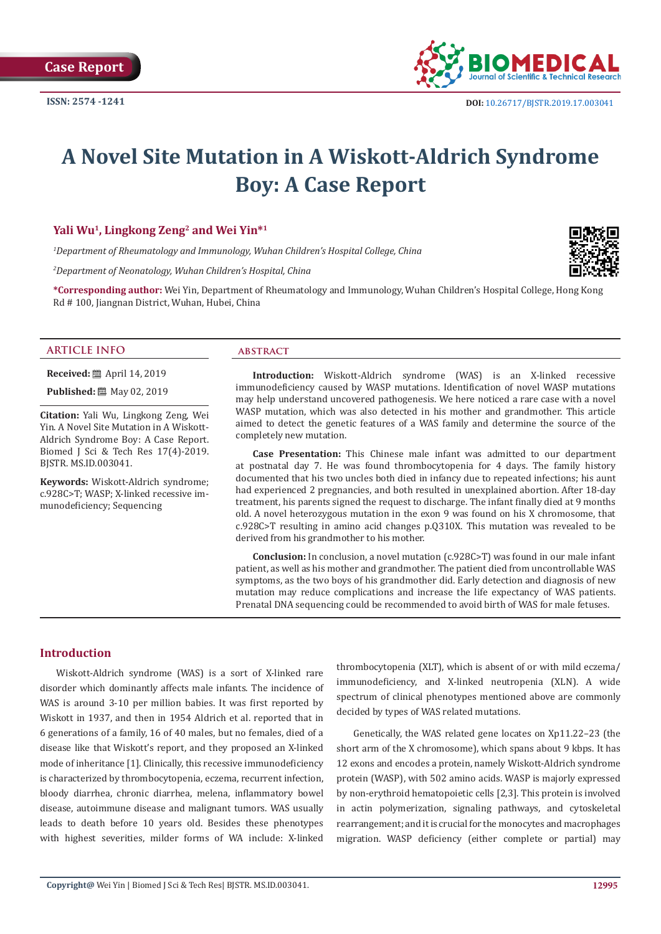

# **A Novel Site Mutation in A Wiskott-Aldrich Syndrome Boy: A Case Report**

## Yali Wu<sup>1</sup>, Lingkong Zeng<sup>2</sup> and Wei Yin<sup>\*1</sup>

*1 Department of Rheumatology and Immunology, Wuhan Children's Hospital College, China*

*2 Department of Neonatology, Wuhan Children's Hospital, China*

**\*Corresponding author:** Wei Yin, Department of Rheumatology and Immunology, Wuhan Children's Hospital College, Hong Kong Rd # 100, Jiangnan District, Wuhan, Hubei, China

#### **ARTICLE INFO abstract**

**Received:** ■ April 14, 2019

**Published:** 圖 May 02, 2019

**Citation:** Yali Wu, Lingkong Zeng, Wei Yin. A Novel Site Mutation in A Wiskott-Aldrich Syndrome Boy: A Case Report. Biomed J Sci & Tech Res 17(4)-2019. BJSTR. MS.ID.003041.

**Keywords:** Wiskott-Aldrich syndrome; c.928C>T; WASP; X-linked recessive immunodeficiency; Sequencing

**Introduction:** Wiskott-Aldrich syndrome (WAS) is an X-linked recessive immunodeficiency caused by WASP mutations. Identification of novel WASP mutations may help understand uncovered pathogenesis. We here noticed a rare case with a novel WASP mutation, which was also detected in his mother and grandmother. This article aimed to detect the genetic features of a WAS family and determine the source of the completely new mutation.

**Case Presentation:** This Chinese male infant was admitted to our department at postnatal day 7. He was found thrombocytopenia for 4 days. The family history documented that his two uncles both died in infancy due to repeated infections; his aunt had experienced 2 pregnancies, and both resulted in unexplained abortion. After 18-day treatment, his parents signed the request to discharge. The infant finally died at 9 months old. A novel heterozygous mutation in the exon 9 was found on his X chromosome, that c.928C>T resulting in amino acid changes p.Q310X. This mutation was revealed to be derived from his grandmother to his mother.

**Conclusion:** In conclusion, a novel mutation (c.928C>T) was found in our male infant patient, as well as his mother and grandmother. The patient died from uncontrollable WAS symptoms, as the two boys of his grandmother did. Early detection and diagnosis of new mutation may reduce complications and increase the life expectancy of WAS patients. Prenatal DNA sequencing could be recommended to avoid birth of WAS for male fetuses.

### **Introduction**

Wiskott-Aldrich syndrome (WAS) is a sort of X-linked rare disorder which dominantly affects male infants. The incidence of WAS is around 3-10 per million babies. It was first reported by Wiskott in 1937, and then in 1954 Aldrich et al. reported that in 6 generations of a family, 16 of 40 males, but no females, died of a disease like that Wiskott's report, and they proposed an X-linked mode of inheritance [1]. Clinically, this recessive immunodeficiency is characterized by thrombocytopenia, eczema, recurrent infection, bloody diarrhea, chronic diarrhea, melena, inflammatory bowel disease, autoimmune disease and malignant tumors. WAS usually leads to death before 10 years old. Besides these phenotypes with highest severities, milder forms of WA include: X-linked

thrombocytopenia (XLT), which is absent of or with mild eczema/ immunodeficiency, and X-linked neutropenia (XLN). A wide spectrum of clinical phenotypes mentioned above are commonly decided by types of WAS related mutations.

Genetically, the WAS related gene locates on Xp11.22–23 (the short arm of the X chromosome), which spans about 9 kbps. It has 12 exons and encodes a protein, namely Wiskott-Aldrich syndrome protein (WASP), with 502 amino acids. WASP is majorly expressed by non-erythroid hematopoietic cells [2,3]. This protein is involved in actin polymerization, signaling pathways, and cytoskeletal rearrangement; and it is crucial for the monocytes and macrophages migration. WASP deficiency (either complete or partial) may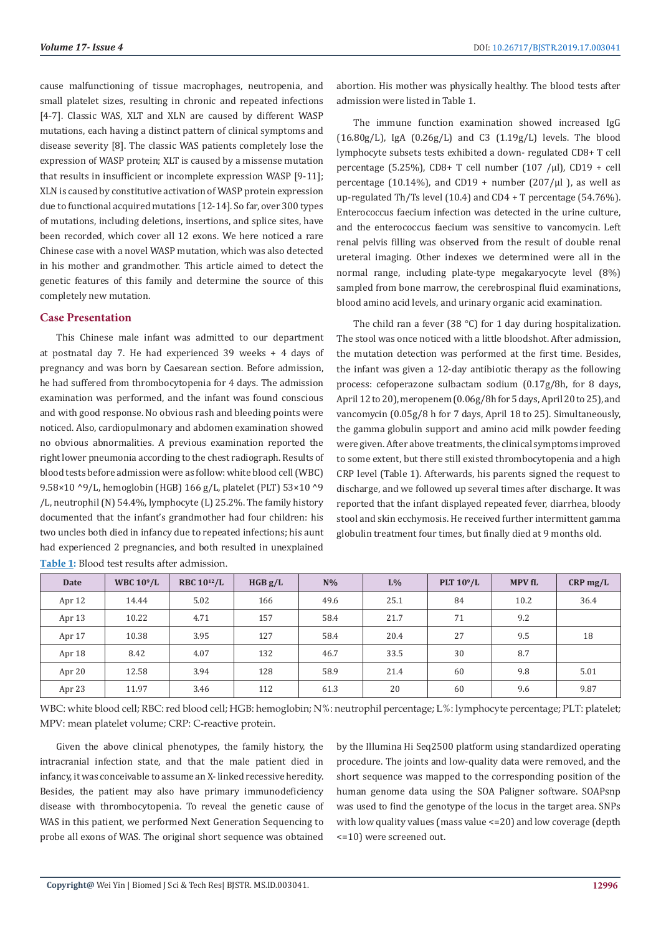cause malfunctioning of tissue macrophages, neutropenia, and small platelet sizes, resulting in chronic and repeated infections [4-7]. Classic WAS, XLT and XLN are caused by different WASP mutations, each having a distinct pattern of clinical symptoms and disease severity [8]. The classic WAS patients completely lose the expression of WASP protein; XLT is caused by a missense mutation that results in insufficient or incomplete expression WASP [9-11]; XLN is caused by constitutive activation of WASP protein expression due to functional acquired mutations [12-14]. So far, over 300 types of mutations, including deletions, insertions, and splice sites, have been recorded, which cover all 12 exons. We here noticed a rare Chinese case with a novel WASP mutation, which was also detected in his mother and grandmother. This article aimed to detect the genetic features of this family and determine the source of this completely new mutation.

#### **Case Presentation**

This Chinese male infant was admitted to our department at postnatal day 7. He had experienced 39 weeks + 4 days of pregnancy and was born by Caesarean section. Before admission, he had suffered from thrombocytopenia for 4 days. The admission examination was performed, and the infant was found conscious and with good response. No obvious rash and bleeding points were noticed. Also, cardiopulmonary and abdomen examination showed no obvious abnormalities. A previous examination reported the right lower pneumonia according to the chest radiograph. Results of blood tests before admission were as follow: white blood cell (WBC) 9.58×10 ^9/L, hemoglobin (HGB) 166 g/L, platelet (PLT) 53×10 ^9 /L, neutrophil (N) 54.4%, lymphocyte (L) 25.2%. The family history documented that the infant's grandmother had four children: his two uncles both died in infancy due to repeated infections; his aunt had experienced 2 pregnancies, and both resulted in unexplained **Table 1:** Blood test results after admission.

abortion. His mother was physically healthy. The blood tests after admission were listed in Table 1.

The immune function examination showed increased IgG (16.80g/L), IgA (0.26g/L) and C3 (1.19g/L) levels. The blood lymphocyte subsets tests exhibited a down- regulated CD8+ T cell percentage (5.25%), CD8+ T cell number (107 /μl), CD19 + cell percentage (10.14%), and CD19 + number (207/ $\mu$ l), as well as up-regulated Th/Ts level (10.4) and CD4 + T percentage (54.76%). Enterococcus faecium infection was detected in the urine culture, and the enterococcus faecium was sensitive to vancomycin. Left renal pelvis filling was observed from the result of double renal ureteral imaging. Other indexes we determined were all in the normal range, including plate-type megakaryocyte level (8%) sampled from bone marrow, the cerebrospinal fluid examinations, blood amino acid levels, and urinary organic acid examination.

The child ran a fever (38 °C) for 1 day during hospitalization. The stool was once noticed with a little bloodshot. After admission, the mutation detection was performed at the first time. Besides, the infant was given a 12-day antibiotic therapy as the following process: cefoperazone sulbactam sodium (0.17g/8h, for 8 days, April 12 to 20), meropenem (0.06g/8h for 5 days, April 20 to 25), and vancomycin (0.05g/8 h for 7 days, April 18 to 25). Simultaneously, the gamma globulin support and amino acid milk powder feeding were given. After above treatments, the clinical symptoms improved to some extent, but there still existed thrombocytopenia and a high CRP level (Table 1). Afterwards, his parents signed the request to discharge, and we followed up several times after discharge. It was reported that the infant displayed repeated fever, diarrhea, bloody stool and skin ecchymosis. He received further intermittent gamma globulin treatment four times, but finally died at 9 months old.

| Date   | WBC $10^9$ /L | RBC $10^{12}/L$ | HGBg/L | $N\%$ | $L\%$ | PLT $10^9$ /L | <b>MPV fL</b> | $CRP$ mg/L |
|--------|---------------|-----------------|--------|-------|-------|---------------|---------------|------------|
| Apr 12 | 14.44         | 5.02            | 166    | 49.6  | 25.1  | 84            | 10.2          | 36.4       |
| Apr 13 | 10.22         | 4.71            | 157    | 58.4  | 21.7  | 71            | 9.2           |            |
| Apr 17 | 10.38         | 3.95            | 127    | 58.4  | 20.4  | 27            | 9.5           | 18         |
| Apr 18 | 8.42          | 4.07            | 132    | 46.7  | 33.5  | 30            | 8.7           |            |
| Apr 20 | 12.58         | 3.94            | 128    | 58.9  | 21.4  | 60            | 9.8           | 5.01       |
| Apr 23 | 11.97         | 3.46            | 112    | 61.3  | 20    | 60            | 9.6           | 9.87       |

WBC: white blood cell; RBC: red blood cell; HGB: hemoglobin; N%: neutrophil percentage; L%: lymphocyte percentage; PLT: platelet; MPV: mean platelet volume; CRP: C-reactive protein.

Given the above clinical phenotypes, the family history, the intracranial infection state, and that the male patient died in infancy, it was conceivable to assume an X- linked recessive heredity. Besides, the patient may also have primary immunodeficiency disease with thrombocytopenia. To reveal the genetic cause of WAS in this patient, we performed Next Generation Sequencing to probe all exons of WAS. The original short sequence was obtained

by the Illumina Hi Seq2500 platform using standardized operating procedure. The joints and low-quality data were removed, and the short sequence was mapped to the corresponding position of the human genome data using the SOA Paligner software. SOAPsnp was used to find the genotype of the locus in the target area. SNPs with low quality values (mass value <=20) and low coverage (depth <=10) were screened out.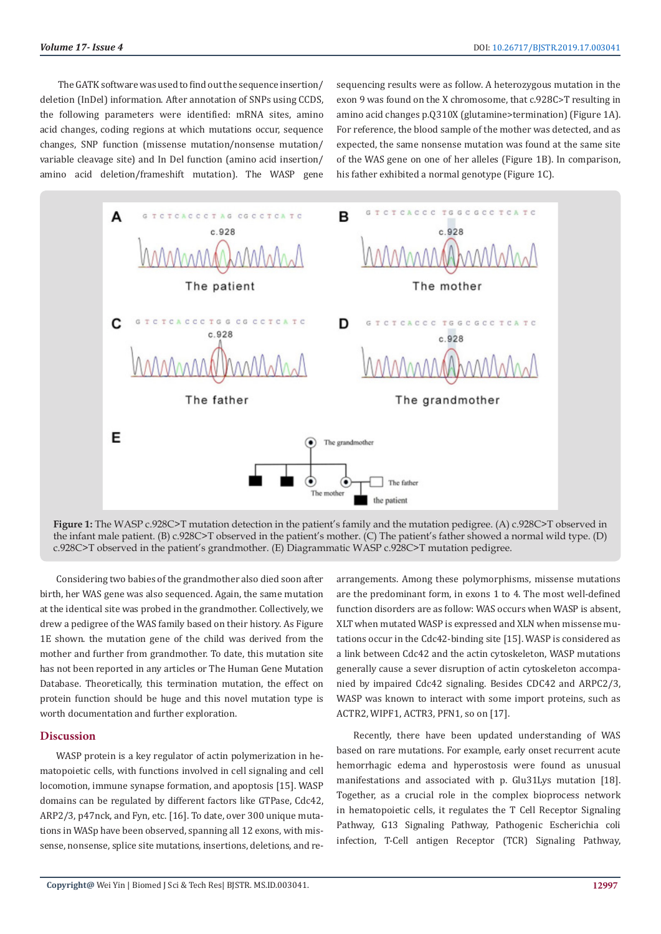The GATK software was used to find out the sequence insertion/ deletion (InDel) information. After annotation of SNPs using CCDS, the following parameters were identified: mRNA sites, amino acid changes, coding regions at which mutations occur, sequence changes, SNP function (missense mutation/nonsense mutation/ variable cleavage site) and In Del function (amino acid insertion/ amino acid deletion/frameshift mutation). The WASP gene

sequencing results were as follow. A heterozygous mutation in the exon 9 was found on the X chromosome, that c.928C>T resulting in amino acid changes p.Q310X (glutamine>termination) (Figure 1A). For reference, the blood sample of the mother was detected, and as expected, the same nonsense mutation was found at the same site of the WAS gene on one of her alleles (Figure 1B). In comparison, his father exhibited a normal genotype (Figure 1C).





Considering two babies of the grandmother also died soon after birth, her WAS gene was also sequenced. Again, the same mutation at the identical site was probed in the grandmother. Collectively, we drew a pedigree of the WAS family based on their history. As Figure 1E shown. the mutation gene of the child was derived from the mother and further from grandmother. To date, this mutation site has not been reported in any articles or The Human Gene Mutation Database. Theoretically, this termination mutation, the effect on protein function should be huge and this novel mutation type is worth documentation and further exploration.

#### **Discussion**

WASP protein is a key regulator of actin polymerization in hematopoietic cells, with functions involved in cell signaling and cell locomotion, immune synapse formation, and apoptosis [15]. WASP domains can be regulated by different factors like GTPase, Cdc42, ARP2/3, p47nck, and Fyn, etc. [16]. To date, over 300 unique mutations in WASp have been observed, spanning all 12 exons, with missense, nonsense, splice site mutations, insertions, deletions, and re-

arrangements. Among these polymorphisms, missense mutations are the predominant form, in exons 1 to 4. The most well-defined function disorders are as follow: WAS occurs when WASP is absent, XLT when mutated WASP is expressed and XLN when missense mutations occur in the Cdc42-binding site [15]. WASP is considered as a link between Cdc42 and the actin cytoskeleton, WASP mutations generally cause a sever disruption of actin cytoskeleton accompanied by impaired Cdc42 signaling. Besides CDC42 and ARPC2/3, WASP was known to interact with some import proteins, such as ACTR2, WIPF1, ACTR3, PFN1, so on [17].

Recently, there have been updated understanding of WAS based on rare mutations. For example, early onset recurrent acute hemorrhagic edema and hyperostosis were found as unusual manifestations and associated with p. Glu31Lys mutation [18]. Together, as a crucial role in the complex bioprocess network in hematopoietic cells, it regulates the T Cell Receptor Signaling Pathway, G13 Signaling Pathway, Pathogenic Escherichia coli infection, T-Cell antigen Receptor (TCR) Signaling Pathway,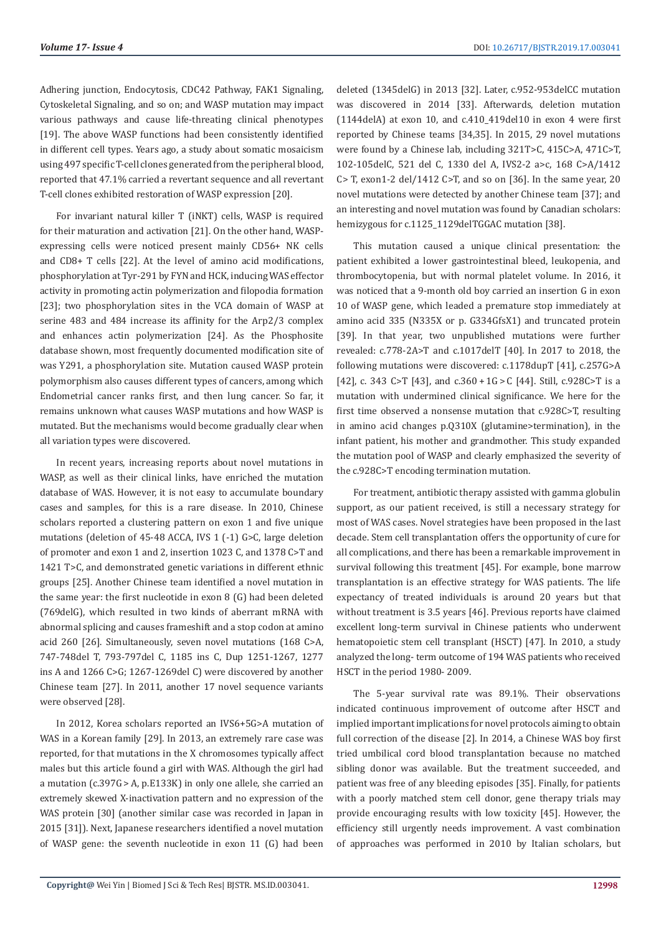Adhering junction, Endocytosis, CDC42 Pathway, FAK1 Signaling, Cytoskeletal Signaling, and so on; and WASP mutation may impact various pathways and cause life-threating clinical phenotypes [19]. The above WASP functions had been consistently identified in different cell types. Years ago, a study about somatic mosaicism using 497 specific T-cell clones generated from the peripheral blood, reported that 47.1% carried a revertant sequence and all revertant T-cell clones exhibited restoration of WASP expression [20].

For invariant natural killer T (iNKT) cells, WASP is required for their maturation and activation [21]. On the other hand, WASPexpressing cells were noticed present mainly CD56+ NK cells and CD8+ T cells [22]. At the level of amino acid modifications, phosphorylation at Tyr-291 by FYN and HCK, inducing WAS effector activity in promoting actin polymerization and filopodia formation [23]; two phosphorylation sites in the VCA domain of WASP at serine 483 and 484 increase its affinity for the Arp2/3 complex and enhances actin polymerization [24]. As the Phosphosite database shown, most frequently documented modification site of was Y291, a phosphorylation site. Mutation caused WASP protein polymorphism also causes different types of cancers, among which Endometrial cancer ranks first, and then lung cancer. So far, it remains unknown what causes WASP mutations and how WASP is mutated. But the mechanisms would become gradually clear when all variation types were discovered.

In recent years, increasing reports about novel mutations in WASP, as well as their clinical links, have enriched the mutation database of WAS. However, it is not easy to accumulate boundary cases and samples, for this is a rare disease. In 2010, Chinese scholars reported a clustering pattern on exon 1 and five unique mutations (deletion of 45-48 ACCA, IVS 1 (-1) G>C, large deletion of promoter and exon 1 and 2, insertion 1023 C, and 1378 C>T and 1421 T>C, and demonstrated genetic variations in different ethnic groups [25]. Another Chinese team identified a novel mutation in the same year: the first nucleotide in exon 8 (G) had been deleted (769delG), which resulted in two kinds of aberrant mRNA with abnormal splicing and causes frameshift and a stop codon at amino acid 260 [26]. Simultaneously, seven novel mutations (168 C>A, 747-748del T, 793-797del C, 1185 ins C, Dup 1251-1267, 1277 ins A and 1266 C>G; 1267-1269del C) were discovered by another Chinese team [27]. In 2011, another 17 novel sequence variants were observed [28].

In 2012, Korea scholars reported an IVS6+5G>A mutation of WAS in a Korean family [29]. In 2013, an extremely rare case was reported, for that mutations in the X chromosomes typically affect males but this article found a girl with WAS. Although the girl had a mutation (c.397G > A, p.E133K) in only one allele, she carried an extremely skewed X-inactivation pattern and no expression of the WAS protein [30] (another similar case was recorded in Japan in 2015 [31]). Next, Japanese researchers identified a novel mutation of WASP gene: the seventh nucleotide in exon 11 (G) had been

deleted (1345delG) in 2013 [32]. Later, c.952-953delCC mutation was discovered in 2014 [33]. Afterwards, deletion mutation (1144delA) at exon 10, and c.410\_419del10 in exon 4 were first reported by Chinese teams [34,35]. In 2015, 29 novel mutations were found by a Chinese lab, including 321T>C, 415C>A, 471C>T, 102-105delC, 521 del C, 1330 del A, IVS2-2 a>c, 168 C>A/1412 C $>$  T, exon1-2 del/1412 C $>$ T, and so on [36]. In the same year, 20 novel mutations were detected by another Chinese team [37]; and an interesting and novel mutation was found by Canadian scholars: hemizygous for c.1125\_1129delTGGAC mutation [38].

This mutation caused a unique clinical presentation: the patient exhibited a lower gastrointestinal bleed, leukopenia, and thrombocytopenia, but with normal platelet volume. In 2016, it was noticed that a 9-month old boy carried an insertion G in exon 10 of WASP gene, which leaded a premature stop immediately at amino acid 335 (N335X or p. G334GfsX1) and truncated protein [39]. In that year, two unpublished mutations were further revealed: c.778-2A>T and c.1017delT [40]. In 2017 to 2018, the following mutations were discovered: c.1178dupT [41], c.257G>A [42], c. 343 C>T [43], and c.360 + 1G > C [44]. Still, c.928C>T is a mutation with undermined clinical significance. We here for the first time observed a nonsense mutation that c.928C>T, resulting in amino acid changes p.Q310X (glutamine>termination), in the infant patient, his mother and grandmother. This study expanded the mutation pool of WASP and clearly emphasized the severity of the c.928C>T encoding termination mutation.

For treatment, antibiotic therapy assisted with gamma globulin support, as our patient received, is still a necessary strategy for most of WAS cases. Novel strategies have been proposed in the last decade. Stem cell transplantation offers the opportunity of cure for all complications, and there has been a remarkable improvement in survival following this treatment [45]. For example, bone marrow transplantation is an effective strategy for WAS patients. The life expectancy of treated individuals is around 20 years but that without treatment is 3.5 years [46]. Previous reports have claimed excellent long-term survival in Chinese patients who underwent hematopoietic stem cell transplant (HSCT) [47]. In 2010, a study analyzed the long- term outcome of 194 WAS patients who received HSCT in the period 1980- 2009.

The 5-year survival rate was 89.1%. Their observations indicated continuous improvement of outcome after HSCT and implied important implications for novel protocols aiming to obtain full correction of the disease [2]. In 2014, a Chinese WAS boy first tried umbilical cord blood transplantation because no matched sibling donor was available. But the treatment succeeded, and patient was free of any bleeding episodes [35]. Finally, for patients with a poorly matched stem cell donor, gene therapy trials may provide encouraging results with low toxicity [45]. However, the efficiency still urgently needs improvement. A vast combination of approaches was performed in 2010 by Italian scholars, but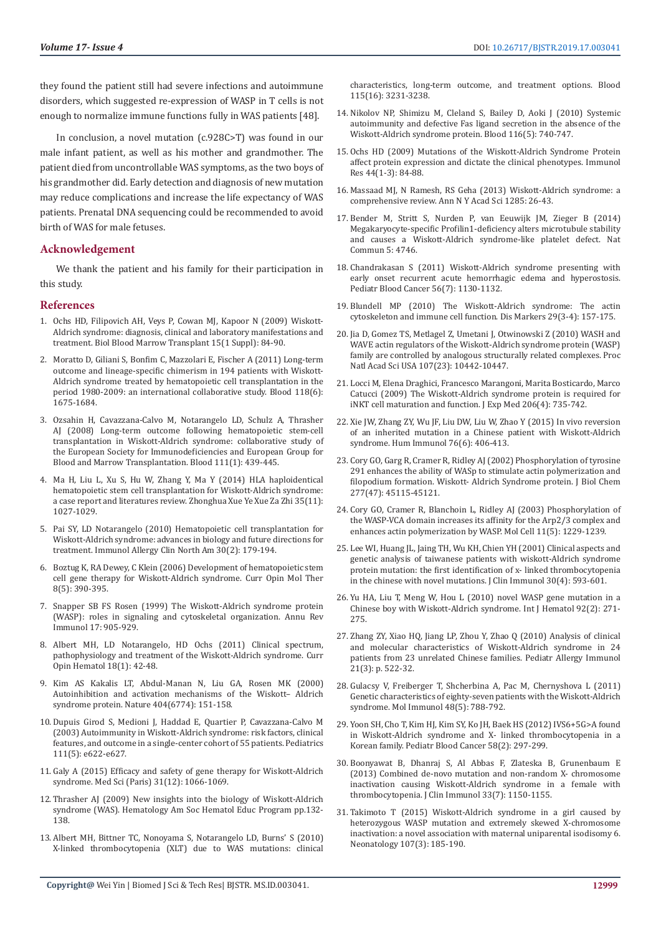they found the patient still had severe infections and autoimmune disorders, which suggested re-expression of WASP in T cells is not enough to normalize immune functions fully in WAS patients [48].

In conclusion, a novel mutation (c.928C>T) was found in our male infant patient, as well as his mother and grandmother. The patient died from uncontrollable WAS symptoms, as the two boys of his grandmother did. Early detection and diagnosis of new mutation may reduce complications and increase the life expectancy of WAS patients. Prenatal DNA sequencing could be recommended to avoid birth of WAS for male fetuses.

# **Acknowledgement**

We thank the patient and his family for their participation in this study.

#### **References**

- 1. [Ochs HD, Filipovich AH, Veys P, Cowan MJ, Kapoor N \(2009\) Wiskott-](https://www.ncbi.nlm.nih.gov/pubmed/19147084)[Aldrich syndrome: diagnosis, clinical and laboratory manifestations and](https://www.ncbi.nlm.nih.gov/pubmed/19147084)  [treatment. Biol Blood Marrow Transplant 15\(1 Suppl\): 84-90.](https://www.ncbi.nlm.nih.gov/pubmed/19147084)
- 2. [Moratto D, Giliani S, Bonfim C, Mazzolari E, Fischer A \(2011\) Long-term](https://www.ncbi.nlm.nih.gov/pubmed/21659547)  [outcome and lineage-specific chimerism in 194 patients with Wiskott-](https://www.ncbi.nlm.nih.gov/pubmed/21659547)[Aldrich syndrome treated by hematopoietic cell transplantation in the](https://www.ncbi.nlm.nih.gov/pubmed/21659547)  [period 1980-2009: an international collaborative study. Blood 118\(6\):](https://www.ncbi.nlm.nih.gov/pubmed/21659547)  [1675-1684.](https://www.ncbi.nlm.nih.gov/pubmed/21659547)
- 3. [Ozsahin H, Cavazzana-Calvo M, Notarangelo LD, Schulz A, Thrasher](https://www.ncbi.nlm.nih.gov/pubmed/17901250)  [AJ \(2008\) Long-term outcome following hematopoietic stem-cell](https://www.ncbi.nlm.nih.gov/pubmed/17901250)  [transplantation in Wiskott-Aldrich syndrome: collaborative study of](https://www.ncbi.nlm.nih.gov/pubmed/17901250)  [the European Society for Immunodeficiencies and European Group for](https://www.ncbi.nlm.nih.gov/pubmed/17901250)  [Blood and Marrow Transplantation. Blood 111\(1\): 439-445.](https://www.ncbi.nlm.nih.gov/pubmed/17901250)
- 4. [Ma H, Liu L, Xu S, Hu W, Zhang Y, Ma Y \(2014\) HLA haploidentical](https://www.ncbi.nlm.nih.gov/pubmed/25417886)  [hematopoietic stem cell transplantation for Wiskott-Aldrich syndrome:](https://www.ncbi.nlm.nih.gov/pubmed/25417886)  [a case report and literatures review. Zhonghua Xue Ye Xue Za Zhi 35\(11\):](https://www.ncbi.nlm.nih.gov/pubmed/25417886)  [1027-1029.](https://www.ncbi.nlm.nih.gov/pubmed/25417886)
- 5. [Pai SY, LD Notarangelo \(2010\) Hematopoietic cell transplantation for](https://www.ncbi.nlm.nih.gov/pubmed/20493395)  [Wiskott-Aldrich syndrome: advances in biology and future directions for](https://www.ncbi.nlm.nih.gov/pubmed/20493395)  [treatment. Immunol Allergy Clin North Am 30\(2\): 179-194.](https://www.ncbi.nlm.nih.gov/pubmed/20493395)
- 6. [Boztug K, RA Dewey, C Klein \(2006\) Development of hematopoietic stem](https://www.ncbi.nlm.nih.gov/pubmed/17078381)  [cell gene therapy for Wiskott-Aldrich syndrome. Curr Opin Mol Ther](https://www.ncbi.nlm.nih.gov/pubmed/17078381)  [8\(5\): 390-395.](https://www.ncbi.nlm.nih.gov/pubmed/17078381)
- 7. [Snapper SB FS Rosen \(1999\) The Wiskott-Aldrich syndrome protein](https://www.annualreviews.org/doi/abs/10.1146/annurev.immunol.17.1.905)  [\(WASP\): roles in signaling and cytoskeletal organization. Annu Rev](https://www.annualreviews.org/doi/abs/10.1146/annurev.immunol.17.1.905)  [Immunol 17: 905-929.](https://www.annualreviews.org/doi/abs/10.1146/annurev.immunol.17.1.905)
- 8. [Albert MH, LD Notarangelo, HD Ochs \(2011\) Clinical spectrum,](https://www.ncbi.nlm.nih.gov/pubmed/21076297)  [pathophysiology and treatment of the Wiskott-Aldrich syndrome. Curr](https://www.ncbi.nlm.nih.gov/pubmed/21076297)  [Opin Hematol 18\(1\): 42-48.](https://www.ncbi.nlm.nih.gov/pubmed/21076297)
- 9. [Kim AS Kakalis LT, Abdul-Manan N, Liu GA, Rosen MK \(2000\)](https://www.ncbi.nlm.nih.gov/pubmed/10724160)  [Autoinhibition and activation mechanisms of the Wiskott– Aldrich](https://www.ncbi.nlm.nih.gov/pubmed/10724160)  [syndrome protein. Nature 404\(6774\): 151-158.](https://www.ncbi.nlm.nih.gov/pubmed/10724160)
- 10. [Dupuis Girod S, Medioni J, Haddad E, Quartier P, Cavazzana-Calvo M](https://www.ncbi.nlm.nih.gov/pubmed/12728121)  [\(2003\) Autoimmunity in Wiskott-Aldrich syndrome: risk factors, clinical](https://www.ncbi.nlm.nih.gov/pubmed/12728121)  [features, and outcome in a single-center cohort of 55 patients. Pediatrics](https://www.ncbi.nlm.nih.gov/pubmed/12728121)  [111\(5\): e622-e627.](https://www.ncbi.nlm.nih.gov/pubmed/12728121)
- 11. [Galy A \(2015\) Efficacy and safety of gene therapy for Wiskott-Aldrich](https://www.ncbi.nlm.nih.gov/pubmed/26672655)  [syndrome. Med Sci \(Paris\) 31\(12\): 1066-1069.](https://www.ncbi.nlm.nih.gov/pubmed/26672655)
- 12. [Thrasher AJ \(2009\) New insights into the biology of Wiskott-Aldrich](https://www.ncbi.nlm.nih.gov/pubmed/20008191)  [syndrome \(WAS\). Hematology Am Soc Hematol Educ Program pp.132-](https://www.ncbi.nlm.nih.gov/pubmed/20008191) [138.](https://www.ncbi.nlm.nih.gov/pubmed/20008191)
- 13. [Albert MH, Bittner TC, Nonoyama S, Notarangelo LD, Burns' S \(2010\)](https://www.ncbi.nlm.nih.gov/pubmed/20173115)  [X-linked thrombocytopenia \(XLT\) due to WAS mutations: clinical](https://www.ncbi.nlm.nih.gov/pubmed/20173115)

[characteristics, long-term outcome, and treatment options. Blood](https://www.ncbi.nlm.nih.gov/pubmed/20173115) [115\(16\): 3231-3238.](https://www.ncbi.nlm.nih.gov/pubmed/20173115)

- 14. [Nikolov NP, Shimizu M, Cleland S, Bailey D, Aoki J \(2010\) Systemic](https://www.ncbi.nlm.nih.gov/pubmed/20457871) [autoimmunity and defective Fas ligand secretion in the absence of the](https://www.ncbi.nlm.nih.gov/pubmed/20457871) [Wiskott-Aldrich syndrome protein. Blood 116\(5\): 740-747.](https://www.ncbi.nlm.nih.gov/pubmed/20457871)
- 15. [Ochs HD \(2009\) Mutations of the Wiskott-Aldrich Syndrome Protein](file:///E:/varalakshmi/2-5-2019/BJSTR.MS.ID.003041/BJSTR-A-19-CR-310_W/Mutations%20of%20the%20Wiskott-Aldrich%20Syndrome%20Protein%20affect%20protein%20expression%20and%20dictate%20the%20clinical%20phenotypes.%20Immunol%20Res%2044(1-3):%2084-88.) [affect protein expression and dictate the clinical phenotypes. Immunol](file:///E:/varalakshmi/2-5-2019/BJSTR.MS.ID.003041/BJSTR-A-19-CR-310_W/Mutations%20of%20the%20Wiskott-Aldrich%20Syndrome%20Protein%20affect%20protein%20expression%20and%20dictate%20the%20clinical%20phenotypes.%20Immunol%20Res%2044(1-3):%2084-88.) [Res 44\(1-3\): 84-88.](file:///E:/varalakshmi/2-5-2019/BJSTR.MS.ID.003041/BJSTR-A-19-CR-310_W/Mutations%20of%20the%20Wiskott-Aldrich%20Syndrome%20Protein%20affect%20protein%20expression%20and%20dictate%20the%20clinical%20phenotypes.%20Immunol%20Res%2044(1-3):%2084-88.)
- 16. [Massaad MJ, N Ramesh, RS Geha \(2013\) Wiskott-Aldrich syndrome: a](https://www.ncbi.nlm.nih.gov/pubmed/23527602) [comprehensive review. Ann N Y Acad Sci 1285: 26-43.](https://www.ncbi.nlm.nih.gov/pubmed/23527602)
- 17. [Bender M, Stritt S, Nurden P, van Eeuwijk JM, Zieger B \(2014\)](https://www.ncbi.nlm.nih.gov/pubmed/25187265) [Megakaryocyte-specific Profilin1-deficiency alters microtubule stability](https://www.ncbi.nlm.nih.gov/pubmed/25187265) [and causes a Wiskott-Aldrich syndrome-like platelet defect. Nat](https://www.ncbi.nlm.nih.gov/pubmed/25187265) [Commun 5: 4746.](https://www.ncbi.nlm.nih.gov/pubmed/25187265)
- 18. [Chandrakasan S \(2011\) Wiskott-Aldrich syndrome presenting with](https://www.ncbi.nlm.nih.gov/pubmed/21488159) [early onset recurrent acute hemorrhagic edema and hyperostosis.](https://www.ncbi.nlm.nih.gov/pubmed/21488159) [Pediatr Blood Cancer 56\(7\): 1130-1132.](https://www.ncbi.nlm.nih.gov/pubmed/21488159)
- 19. [Blundell MP \(2010\) The Wiskott-Aldrich syndrome: The actin](https://www.ncbi.nlm.nih.gov/pubmed/21178275) [cytoskeleton and immune cell function. Dis Markers 29\(3-4\): 157-175.](https://www.ncbi.nlm.nih.gov/pubmed/21178275)
- 20. [Jia D, Gomez TS, Metlagel Z, Umetani J, Otwinowski Z \(2010\) WASH and](https://www.ncbi.nlm.nih.gov/pubmed/20498093) [WAVE actin regulators of the Wiskott-Aldrich syndrome protein \(WASP\)](https://www.ncbi.nlm.nih.gov/pubmed/20498093) [family are controlled by analogous structurally related complexes. Proc](https://www.ncbi.nlm.nih.gov/pubmed/20498093) [Natl Acad Sci USA 107\(23\): 10442-10447.](https://www.ncbi.nlm.nih.gov/pubmed/20498093)
- 21. [Locci M, Elena Draghici, Francesco Marangoni, Marita Bosticardo, Marco](https://www.ncbi.nlm.nih.gov/pmc/articles/PMC2715111/) [Catucci \(2009\) The Wiskott-Aldrich syndrome protein is required for](https://www.ncbi.nlm.nih.gov/pmc/articles/PMC2715111/) [iNKT cell maturation and function. J Exp Med 206\(4\): 735-742.](https://www.ncbi.nlm.nih.gov/pmc/articles/PMC2715111/)
- 22. [Xie JW, Zhang ZY, Wu JF, Liu DW, Liu W, Zhao Y \(2015\) In vivo reversion](https://www.ncbi.nlm.nih.gov/pubmed/25862925) [of an inherited mutation in a Chinese patient with Wiskott-Aldrich](https://www.ncbi.nlm.nih.gov/pubmed/25862925) [syndrome. Hum Immunol 76\(6\): 406-413.](https://www.ncbi.nlm.nih.gov/pubmed/25862925)
- 23. [Cory GO, Garg R, Cramer R, Ridley AJ \(2002\) Phosphorylation of tyrosine](https://www.ncbi.nlm.nih.gov/pubmed/12235133) [291 enhances the ability of WASp to stimulate actin polymerization and](https://www.ncbi.nlm.nih.gov/pubmed/12235133) [filopodium formation. Wiskott- Aldrich Syndrome protein. J Biol Chem](https://www.ncbi.nlm.nih.gov/pubmed/12235133) [277\(47\): 45115-45121.](https://www.ncbi.nlm.nih.gov/pubmed/12235133)
- 24. [Cory GO, Cramer R, Blanchoin L, Ridley AJ \(2003\) Phosphorylation of](https://www.ncbi.nlm.nih.gov/pubmed/12769847) [the WASP-VCA domain increases its affinity for the Arp2/3 complex and](https://www.ncbi.nlm.nih.gov/pubmed/12769847) [enhances actin polymerization by WASP. Mol Cell 11\(5\): 1229-1239.](https://www.ncbi.nlm.nih.gov/pubmed/12769847)
- 25. [Lee WI, Huang JL, Jaing TH, Wu KH, Chien YH \(2001\) Clinical aspects and](https://www.ncbi.nlm.nih.gov/pubmed/20232122) [genetic analysis of taiwanese patients with wiskott-Aldrich syndrome](https://www.ncbi.nlm.nih.gov/pubmed/20232122) [protein mutation: the first identification of x- linked thrombocytopenia](https://www.ncbi.nlm.nih.gov/pubmed/20232122) [in the chinese with novel mutations. J Clin Immunol 30\(4\): 593-601.](https://www.ncbi.nlm.nih.gov/pubmed/20232122)
- 26. [Yu HA, Liu T, Meng W, Hou L \(2010\) novel WASP gene mutation in a](https://www.ncbi.nlm.nih.gov/pubmed/20683686) [Chinese boy with Wiskott-Aldrich syndrome. Int J Hematol 92\(2\): 271-](https://www.ncbi.nlm.nih.gov/pubmed/20683686) [275.](https://www.ncbi.nlm.nih.gov/pubmed/20683686)
- 27. [Zhang ZY, Xiao HQ, Jiang LP, Zhou Y, Zhao Q \(2010\) Analysis of clinical](file:///E:/varalakshmi/2-5-2019/BJSTR.MS.ID.003041/BJSTR-A-19-CR-310_W/Xiao%20HQ,%20Jiang%20LP,%20Zhou%20Y,%20Zhao%20Q) [and molecular characteristics of Wiskott-Aldrich syndrome in 24](file:///E:/varalakshmi/2-5-2019/BJSTR.MS.ID.003041/BJSTR-A-19-CR-310_W/Xiao%20HQ,%20Jiang%20LP,%20Zhou%20Y,%20Zhao%20Q) [patients from 23 unrelated Chinese families. Pediatr Allergy Immunol](file:///E:/varalakshmi/2-5-2019/BJSTR.MS.ID.003041/BJSTR-A-19-CR-310_W/Xiao%20HQ,%20Jiang%20LP,%20Zhou%20Y,%20Zhao%20Q) [21\(3\): p. 522-32.](file:///E:/varalakshmi/2-5-2019/BJSTR.MS.ID.003041/BJSTR-A-19-CR-310_W/Xiao%20HQ,%20Jiang%20LP,%20Zhou%20Y,%20Zhao%20Q)
- 28. [Gulacsy V, Freiberger T, Shcherbina A, Pac M, Chernyshova L \(2011\)](https://www.ncbi.nlm.nih.gov/pubmed/21185603) [Genetic characteristics of eighty-seven patients with the Wiskott-Aldrich](https://www.ncbi.nlm.nih.gov/pubmed/21185603) [syndrome. Mol Immunol 48\(5\): 788-792.](https://www.ncbi.nlm.nih.gov/pubmed/21185603)
- 29. [Yoon SH, Cho T, Kim HJ, Kim SY, Ko JH, Baek HS \(2012\) IVS6+5G>A found](https://www.ncbi.nlm.nih.gov/pubmed/22038941) [in Wiskott-Aldrich syndrome and X- linked thrombocytopenia in a](https://www.ncbi.nlm.nih.gov/pubmed/22038941) [Korean family. Pediatr Blood Cancer 58\(2\): 297-299.](https://www.ncbi.nlm.nih.gov/pubmed/22038941)
- 30. [Boonyawat B, Dhanraj S, Al Abbas F, Zlateska B, Grunenbaum E](https://www.ncbi.nlm.nih.gov/pubmed/23943155) [\(2013\) Combined de-novo mutation and non-random X- chromosome](https://www.ncbi.nlm.nih.gov/pubmed/23943155) [inactivation causing Wiskott-Aldrich syndrome in a female with](https://www.ncbi.nlm.nih.gov/pubmed/23943155) [thrombocytopenia. J Clin Immunol 33\(7\): 1150-1155.](https://www.ncbi.nlm.nih.gov/pubmed/23943155)
- 31. [Takimoto T \(2015\) Wiskott-Aldrich syndrome in a girl caused by](https://www.researchgate.net/publication/271593246_Wiskott-Aldrich_Syndrome_in_a_Girl_Caused_by_Heterozygous_WASP_Mutation_and_Extremely_Skewed_X-Chromosome_Inactivation_A_Novel_Association_with_Maternal_Uniparental_Isodisomy_6) [heterozygous WASP mutation and extremely skewed X-chromosome](https://www.researchgate.net/publication/271593246_Wiskott-Aldrich_Syndrome_in_a_Girl_Caused_by_Heterozygous_WASP_Mutation_and_Extremely_Skewed_X-Chromosome_Inactivation_A_Novel_Association_with_Maternal_Uniparental_Isodisomy_6) [inactivation: a novel association with maternal uniparental isodisomy 6.](https://www.researchgate.net/publication/271593246_Wiskott-Aldrich_Syndrome_in_a_Girl_Caused_by_Heterozygous_WASP_Mutation_and_Extremely_Skewed_X-Chromosome_Inactivation_A_Novel_Association_with_Maternal_Uniparental_Isodisomy_6) [Neonatology 107\(3\): 185-190.](https://www.researchgate.net/publication/271593246_Wiskott-Aldrich_Syndrome_in_a_Girl_Caused_by_Heterozygous_WASP_Mutation_and_Extremely_Skewed_X-Chromosome_Inactivation_A_Novel_Association_with_Maternal_Uniparental_Isodisomy_6)